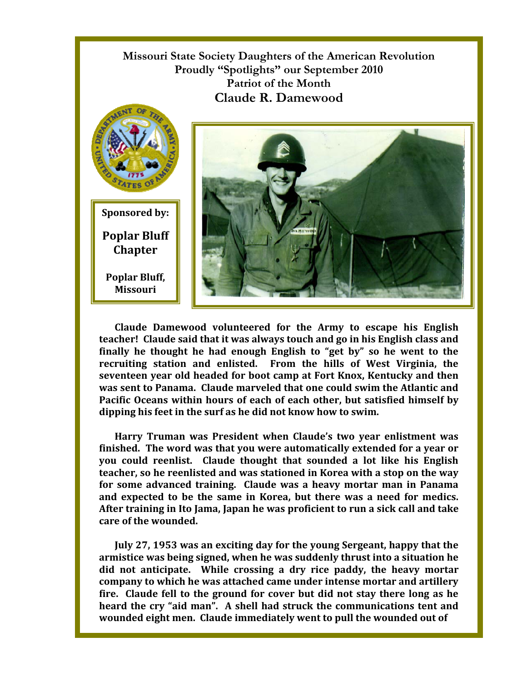**Missouri State Society Daughters of the American Revolution Proudly "Spotlights" our September 2010 Patriot of the Month Claude R. Damewood**





**Claude Damewood volunteered for the Army to escape his English teacher! Claude said that it was always touch and go in his English class and finally he thought he had enough English to "get by" so he went to the recruiting station and enlisted. From the hills of West Virginia, the seventeen year old headed for boot camp at Fort Knox, Kentucky and then was sent to Panama. Claude marveled that one could swim the Atlantic and Pacific Oceans within hours of each of each other, but satisfied himself by dipping his feet in the surf as he did not know how to swim.** 

**Harry Truman was President when Claude's two year enlistment was finished. The word was that you were automatically extended for a year or you could reenlist. Claude thought that sounded a lot like his English teacher, so he reenlisted and was stationed in Korea with a stop on the way for some advanced training. Claude was a heavy mortar man in Panama and expected to be the same in Korea, but there was a need for medics. After training in Ito Jama, Japan he was proficient to run a sick call and take care of the wounded.** 

**July 27, 1953 was an exciting day for the young Sergeant, happy that the armistice was being signed, when he was suddenly thrust into a situation he did not anticipate. While crossing a dry rice paddy, the heavy mortar company to which he was attached came under intense mortar and artillery fire. Claude fell to the ground for cover but did not stay there long as he heard the cry "aid man". A shell had struck the communications tent and wounded eight men. Claude immediately went to pull the wounded out of**